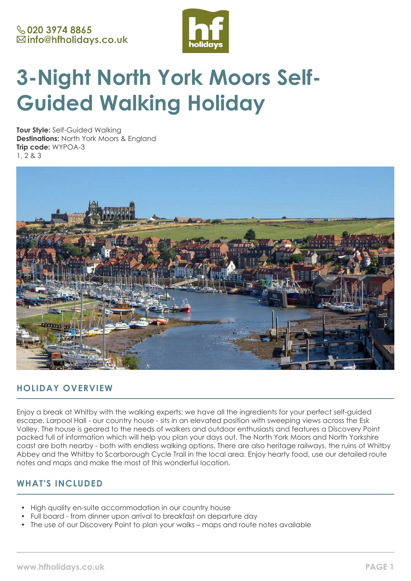

# **3-Night North York Moors Self-Guided Walking Holiday**

**Tour Style:** Self-Guided Walking **Destinations:** North York Moors & England **Trip code:** WYPOA-3 1, 2 & 3



# **HOLIDAY OVERVIEW**

Enjoy a break at Whitby with the walking experts; we have all the ingredients for your perfect self-guided escape. Larpool Hall - our country house - sits in an elevated position with sweeping views across the Esk Valley. The house is geared to the needs of walkers and outdoor enthusiasts and features a Discovery Point packed full of information which will help you plan your days out. The North York Moors and North Yorkshire coast are both nearby - both with endless walking options. There are also heritage railways, the ruins of Whitby Abbey and the Whitby to Scarborough Cycle Trail in the local area. Enjoy hearty food, use our detailed route notes and maps and make the most of this wonderful location.

# **WHAT'S INCLUDED**

- High quality en-suite accommodation in our country house
- Full board from dinner upon arrival to breakfast on departure day
- The use of our Discovery Point to plan your walks maps and route notes available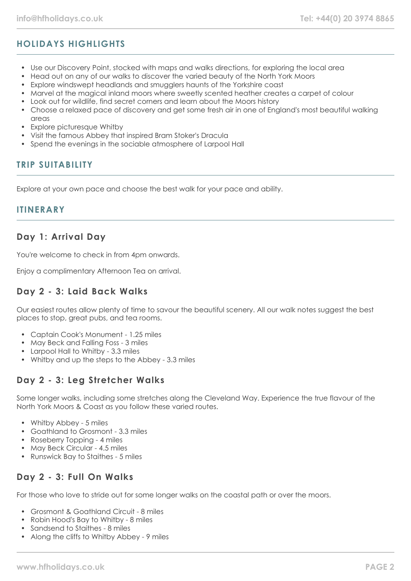# **HOLIDAYS HIGHLIGHTS**

- Use our Discovery Point, stocked with maps and walks directions, for exploring the local area
- Head out on any of our walks to discover the varied beauty of the North York Moors
- Explore windswept headlands and smugglers haunts of the Yorkshire coast
- Marvel at the magical inland moors where sweetly scented heather creates a carpet of colour
- Look out for wildlife, find secret corners and learn about the Moors history
- Choose a relaxed pace of discovery and get some fresh air in one of England's most beautiful walking areas
- Explore picturesque Whitby
- Visit the famous Abbey that inspired Bram Stoker's Dracula
- Spend the evenings in the sociable atmosphere of Larpool Hall

# **TRIP SUITABILITY**

Explore at your own pace and choose the best walk for your pace and ability.

## **ITINERARY**

## **Day 1: Arrival Day**

You're welcome to check in from 4pm onwards.

Enjoy a complimentary Afternoon Tea on arrival.

# **Day 2 - 3: Laid Back Walks**

Our easiest routes allow plenty of time to savour the beautiful scenery. All our walk notes suggest the best places to stop, great pubs, and tea rooms.

- Captain Cook's Monument 1.25 miles
- May Beck and Falling Foss 3 miles
- Larpool Hall to Whitby 3.3 miles
- Whitby and up the steps to the Abbey 3.3 miles

# **Day 2 - 3: Leg Stretcher Walks**

Some longer walks, including some stretches along the Cleveland Way. Experience the true flavour of the North York Moors & Coast as you follow these varied routes.

- Whitby Abbey 5 miles
- Goathland to Grosmont 3.3 miles
- Roseberry Topping 4 miles
- May Beck Circular 4.5 miles
- Runswick Bay to Staithes 5 miles

# **Day 2 - 3: Full On Walks**

For those who love to stride out for some longer walks on the coastal path or over the moors.

- Grosmont & Goathland Circuit 8 miles
- Robin Hood's Bay to Whitby 8 miles
- Sandsend to Staithes 8 miles
- Along the cliffs to Whitby Abbey 9 miles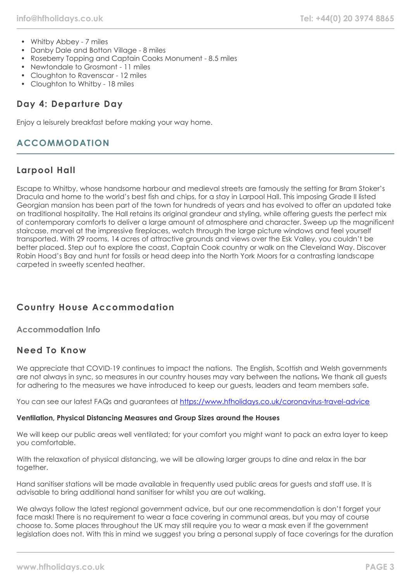- Whitby Abbey 7 miles
- Danby Dale and Botton Village 8 miles
- Roseberry Topping and Captain Cooks Monument 8.5 miles
- Newtondale to Grosmont 11 miles
- Cloughton to Ravenscar 12 miles
- Cloughton to Whitby 18 miles

# **Day 4: Departure Day**

Enjoy a leisurely breakfast before making your way home.

# **ACCOMMODATION**

## **Larpool Hall**

Escape to Whitby, whose handsome harbour and medieval streets are famously the setting for Bram Stoker's Dracula and home to the world's best fish and chips, for a stay in Larpool Hall. This imposing Grade II listed Georgian mansion has been part of the town for hundreds of years and has evolved to offer an updated take on traditional hospitality. The Hall retains its original grandeur and styling, while offering guests the perfect mix of contemporary comforts to deliver a large amount of atmosphere and character. Sweep up the magnificent staircase, marvel at the impressive fireplaces, watch through the large picture windows and feel yourself transported. With 29 rooms, 14 acres of attractive grounds and views over the Esk Valley, you couldn't be better placed. Step out to explore the coast, Captain Cook country or walk on the Cleveland Way. Discover Robin Hood's Bay and hunt for fossils or head deep into the North York Moors for a contrasting landscape carpeted in sweetly scented heather.

# **Country House Accommodation**

**Accommodation Info**

# **Need To Know**

We appreciate that COVID-19 continues to impact the nations. The English, Scottish and Welsh governments are not always in sync, so measures in our country houses may vary between the nations. We thank all guests for adhering to the measures we have introduced to keep our guests, leaders and team members safe.

You can see our latest FAQs and guarantees at <https://www.hfholidays.co.uk/coronavirus-travel-advice>

## **Ventilation, Physical Distancing Measures and Group Sizes around the Houses**

We will keep our public areas well ventilated; for your comfort you might want to pack an extra layer to keep you comfortable.

With the relaxation of physical distancing, we will be allowing larger groups to dine and relax in the bar together.

Hand sanitiser stations will be made available in frequently used public areas for guests and staff use. It is advisable to bring additional hand sanitiser for whilst you are out walking.

We always follow the latest regional government advice, but our one recommendation is don't forget your face mask! There is no requirement to wear a face covering in communal areas, but you may of course choose to. Some places throughout the UK may still require you to wear a mask even if the government legislation does not. With this in mind we suggest you bring a personal supply of face coverings for the duration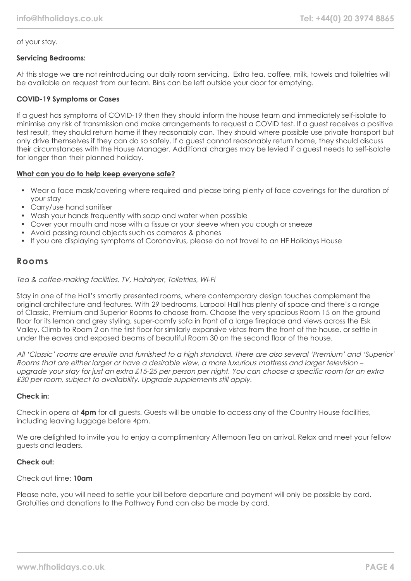## of your stay.

#### **Servicing Bedrooms:**

At this stage we are not reintroducing our daily room servicing. Extra tea, coffee, milk, towels and toiletries will be available on request from our team. Bins can be left outside your door for emptying.

#### **COVID-19 Symptoms or Cases**

If a guest has symptoms of COVID-19 then they should inform the house team and immediately self-isolate to minimise any risk of transmission and make arrangements to request a COVID test. If a guest receives a positive test result, they should return home if they reasonably can. They should where possible use private transport but only drive themselves if they can do so safely. If a guest cannot reasonably return home, they should discuss their circumstances with the House Manager. Additional charges may be levied if a guest needs to self-isolate for longer than their planned holiday.

#### **What can you do to help keep everyone safe?**

- Wear a face mask/covering where required and please bring plenty of face coverings for the duration of your stay
- Carry/use hand sanitiser
- Wash your hands frequently with soap and water when possible
- Cover your mouth and nose with a tissue or your sleeve when you cough or sneeze
- Avoid passing round objects such as cameras & phones
- If you are displaying symptoms of Coronavirus, please do not travel to an HF Holidays House

## **Rooms**

#### Tea & coffee-making facilities, TV, Hairdryer, Toiletries, Wi-Fi

Stay in one of the Hall's smartly presented rooms, where contemporary design touches complement the original architecture and features. With 29 bedrooms, Larpool Hall has plenty of space and there's a range of Classic, Premium and Superior Rooms to choose from. Choose the very spacious Room 15 on the ground floor for its lemon and grey styling, super-comfy sofa in front of a large fireplace and views across the Esk Valley. Climb to Room 2 on the first floor for similarly expansive vistas from the front of the house, or settle in under the eaves and exposed beams of beautiful Room 30 on the second floor of the house.

All 'Classic' rooms are ensuite and furnished to a high standard. There are also several 'Premium' and 'Superior' Rooms that are either larger or have a desirable view, a more luxurious mattress and larger television – upgrade your stay for just an extra £15-25 per person per night. You can choose a specific room for an extra £30 per room, subject to availability. Upgrade supplements still apply.

## **Check in:**

Check in opens at **4pm** for all guests. Guests will be unable to access any of the Country House facilities, including leaving luggage before 4pm.

We are delighted to invite you to enjoy a complimentary Afternoon Tea on arrival. Relax and meet your fellow guests and leaders.

## **Check out:**

#### Check out time: **10am**

Please note, you will need to settle your bill before departure and payment will only be possible by card. Gratuities and donations to the Pathway Fund can also be made by card.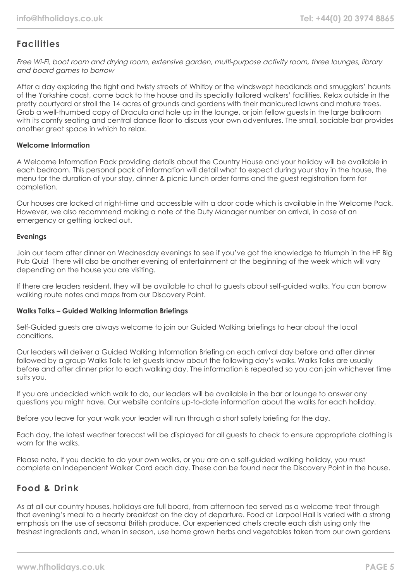# **Facilities**

Free Wi-Fi, boot room and drying room, extensive garden, multi-purpose activity room, three lounges, library and board games to borrow

After a day exploring the tight and twisty streets of Whitby or the windswept headlands and smugglers' haunts of the Yorkshire coast, come back to the house and its specially tailored walkers' facilities. Relax outside in the pretty courtyard or stroll the 14 acres of grounds and gardens with their manicured lawns and mature trees. Grab a well-thumbed copy of Dracula and hole up in the lounge, or join fellow guests in the large ballroom with its comfy seating and central dance floor to discuss your own adventures. The small, sociable bar provides another great space in which to relax.

#### **Welcome Information**

A Welcome Information Pack providing details about the Country House and your holiday will be available in each bedroom. This personal pack of information will detail what to expect during your stay in the house, the menu for the duration of your stay, dinner & picnic lunch order forms and the guest registration form for completion.

Our houses are locked at night-time and accessible with a door code which is available in the Welcome Pack. However, we also recommend making a note of the Duty Manager number on arrival, in case of an emergency or getting locked out.

## **Evenings**

Join our team after dinner on Wednesday evenings to see if you've got the knowledge to triumph in the HF Big Pub Quiz! There will also be another evening of entertainment at the beginning of the week which will vary depending on the house you are visiting.

If there are leaders resident, they will be available to chat to guests about self-guided walks. You can borrow walking route notes and maps from our Discovery Point.

#### **Walks Talks – Guided Walking Information Briefings**

Self-Guided guests are always welcome to join our Guided Walking briefings to hear about the local conditions.

Our leaders will deliver a Guided Walking Information Briefing on each arrival day before and after dinner followed by a group Walks Talk to let guests know about the following day's walks. Walks Talks are usually before and after dinner prior to each walking day. The information is repeated so you can join whichever time suits you.

If you are undecided which walk to do, our leaders will be available in the bar or lounge to answer any questions you might have. Our website contains up-to-date information about the walks for each holiday.

Before you leave for your walk your leader will run through a short safety briefing for the day.

Each day, the latest weather forecast will be displayed for all guests to check to ensure appropriate clothing is worn for the walks.

Please note, if you decide to do your own walks, or you are on a self-guided walking holiday, you must complete an Independent Walker Card each day. These can be found near the Discovery Point in the house.

# **Food & Drink**

As at all our country houses, holidays are full board, from afternoon tea served as a welcome treat through that evening's meal to a hearty breakfast on the day of departure. Food at Larpool Hall is varied with a strong emphasis on the use of seasonal British produce. Our experienced chefs create each dish using only the freshest ingredients and, when in season, use home grown herbs and vegetables taken from our own gardens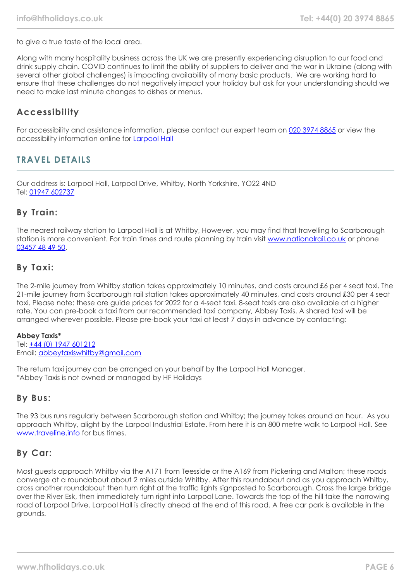to give a true taste of the local area.

Along with many hospitality business across the UK we are presently experiencing disruption to our food and drink supply chain. COVID continues to limit the ability of suppliers to deliver and the war in Ukraine (along with several other global challenges) is impacting availability of many basic products. We are working hard to ensure that these challenges do not negatively impact your holiday but ask for your understanding should we need to make last minute changes to dishes or menus.

# **Accessibility**

For accessibility and assistance information, please contact our expert team on [020 3974 8865](tel:02039748865) or view the accessibility information online for **[Larpool Hall](https://www.hfholidays.co.uk/%22images/Documents/accessibility_statements/larpool-hall---accessibility-information---update-mar-2021.pdf%22)** 

# **TRAVEL DETAILS**

Our address is: Larpool Hall, Larpool Drive, Whitby, North Yorkshire, YO22 4ND Tel: [01947 602737](tel:01947602737)

## **By Train:**

The nearest railway station to Larpool Hall is at Whitby, However, you may find that travelling to Scarborough station is more convenient. For train times and route planning by train visit [www.nationalrail.co.uk](https://www.nationalrail.co.uk/) or phone [03457 48 49 50.](tel:03457484950)

## **By Taxi:**

The 2-mile journey from Whitby station takes approximately 10 minutes, and costs around £6 per 4 seat taxi. The 21-mile journey from Scarborough rail station takes approximately 40 minutes, and costs around £30 per 4 seat taxi. Please note: these are guide prices for 2022 for a 4-seat taxi. 8-seat taxis are also available at a higher rate. You can pre-book a taxi from our recommended taxi company, Abbey Taxis. A shared taxi will be arranged wherever possible. Please pre-book your taxi at least 7 days in advance by contacting:

## **Abbey Taxis\***

Tel: [+44 \(0\) 1947 601212](tel:01947601212) Email: [abbeytaxiswhitby@gmail.com](mailto:abbeytaxiswhitby@gmail.com)

The return taxi journey can be arranged on your behalf by the Larpool Hall Manager. \*Abbey Taxis is not owned or managed by HF Holidays

## **By Bus:**

The 93 bus runs regularly between Scarborough station and Whitby; the journey takes around an hour. As you approach Whitby, alight by the Larpool Industrial Estate. From here it is an 800 metre walk to Larpool Hall. See [www.traveline.info](https://www.traveline.info/) for bus times.

## **By Car:**

Most guests approach Whitby via the A171 from Teesside or the A169 from Pickering and Malton; these roads converge at a roundabout about 2 miles outside Whitby. After this roundabout and as you approach Whitby, cross another roundabout then turn right at the traffic lights signposted to Scarborough. Cross the large bridge over the River Esk, then immediately turn right into Larpool Lane. Towards the top of the hill take the narrowing road of Larpool Drive. Larpool Hall is directly ahead at the end of this road. A free car park is available in the grounds.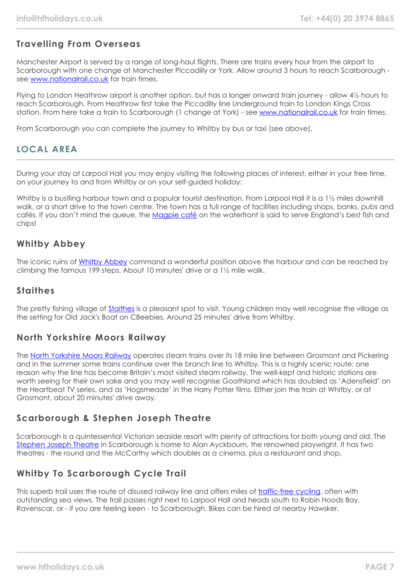# **Travelling From Overseas**

Manchester Airport is served by a range of long-haul flights. There are trains every hour from the airport to Scarborough with one change at Manchester Piccadilly or York. Allow around 3 hours to reach Scarborough see [www.nationalrail.co.uk](https://www.nationalrail.co.uk/) for train times.

Flying to London Heathrow airport is another option, but has a longer onward train journey - allow 4½ hours to reach Scarborough. From Heathrow first take the Piccadilly line Underground train to London Kings Cross station. From here take a train to Scarborough (1 change at York) - see [www.nationalrail.co.uk](https://www.nationalrail.co.uk/) for train times.

From Scarborough you can complete the journey to Whitby by bus or taxi (see above).

# **LOCAL AREA**

During your stay at Larpool Hall you may enjoy visiting the following places of interest, either in your free time, on your journey to and from Whitby or on your self-guided holiday:

Whitby is a bustling harbour town and a popular tourist destination. From Larpool Hall it is a 1½ miles downhill walk, or a short drive to the town centre. The town has a full range of facilities including shops, banks, pubs and cafés. If you don't mind the queue, the [Magpie café](http://www.magpiecafe.co.uk/) on the waterfront is said to serve England's best fish and chips!

# **Whitby Abbey**

The iconic ruins of [Whitby Abbey](https://www.english-heritage.org.uk/visit/places/whitby-abbey/) command a wonderful position above the harbour and can be reached by climbing the famous 199 steps. About 10 minutes' drive or a 1½ mile walk.

# **Staithes**

The pretty fishing village of [Staithes](https://www.yorkshire.com/places/yorkshire-coast/staithes) is a pleasant spot to visit. Young children may well recognise the village as the setting for Old Jack's Boat on CBeebies. Around 25 minutes' drive from Whitby.

# **North Yorkshire Moors Railway**

The [North Yorkshire Moors Railway](https://www.nymr.co.uk/) operates steam trains over its 18 mile line between Grosmont and Pickering and in the summer some trains continue over the branch line to Whitby. This is a highly scenic route: one reason why the line has become Britain's most visited steam railway. The well-kept and historic stations are worth seeing for their own sake and you may well recognise Goathland which has doubled as 'Adensfield' on the Heartbeat TV series, and as 'Hoasmeade' in the Harry Potter films. Either join the train at Whitby, or at Grosmont, about 20 minutes' drive away.

# **Scarborough & Stephen Joseph Theatre**

Scarborough is a quintessential Victorian seaside resort with plenty of attractions for both young and old. The [Stephen Joseph Theatre](https://www.sjt.uk.com/) in Scarborough is home to Alan Ayckbourn, the renowned playwright. It has two theatres - the round and the McCarthy which doubles as a cinema, plus a restaurant and shop.

# **Whitby To Scarborough Cycle Trail**

This superb trail uses the route of disused railway line and offers miles of [traffic-free cycling](https://www.trailways.info/), often with outstanding sea views. The trail passes right next to Larpool Hall and heads south to Robin Hoods Bay, Ravenscar, or - if you are feeling keen - to Scarborough. Bikes can be hired at nearby Hawsker.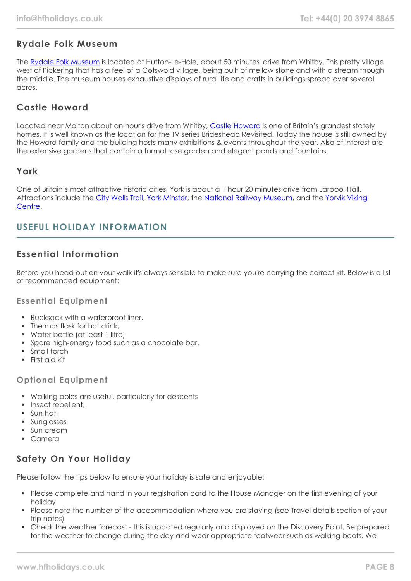# **Rydale Folk Museum**

The [Rydale Folk Museum](https://www.ryedalefolkmuseum.co.uk/) is located at Hutton-Le-Hole, about 50 minutes' drive from Whitby. This pretty village west of Pickering that has a feel of a Cotswold village, being built of mellow stone and with a stream though the middle. The museum houses exhaustive displays of rural life and crafts in buildings spread over several acres.

# **Castle Howard**

Located near Malton about an hour's drive from Whitby, [Castle Howard](https://www.castlehoward.co.uk/) is one of Britain's grandest stately homes. It is well known as the location for the TV series Brideshead Revisited. Today the house is still owned by the Howard family and the building hosts many exhibitions & events throughout the year. Also of interest are the extensive gardens that contain a formal rose garden and elegant ponds and fountains.

## **York**

One of Britain's most attractive historic cities, York is about a 1 hour 20 minutes drive from Larpool Hall. Attractions include the [City Walls Trail](https://www.yorkwalls.org.uk/?page_id=3690), [York Minster](https://yorkminster.org/), the [National Railway Museum,](https://www.railwaymuseum.org.uk/) and the [Yorvik Viking](https://www.jorvikvikingcentre.co.uk/) [Centre](https://www.jorvikvikingcentre.co.uk/).

# **USEFUL HOLIDAY INFORMATION**

# **Essential Information**

Before you head out on your walk it's always sensible to make sure you're carrying the correct kit. Below is a list of recommended equipment:

## **Essential Equipment**

- Rucksack with a waterproof liner,
- Thermos flask for hot drink,
- Water bottle (at least 1 litre)
- Spare high-energy food such as a chocolate bar.
- Small torch
- First aid kit

## **Optional Equipment**

- Walking poles are useful, particularly for descents
- Insect repellent,
- Sun hat,
- Sunglasses
- Sun cream
- Camera

# **Safety On Your Holiday**

Please follow the tips below to ensure your holiday is safe and enjoyable:

- Please complete and hand in your registration card to the House Manager on the first evening of your holiday
- Please note the number of the accommodation where you are staying (see Travel details section of your trip notes)
- Check the weather forecast this is updated regularly and displayed on the Discovery Point. Be prepared for the weather to change during the day and wear appropriate footwear such as walking boots. We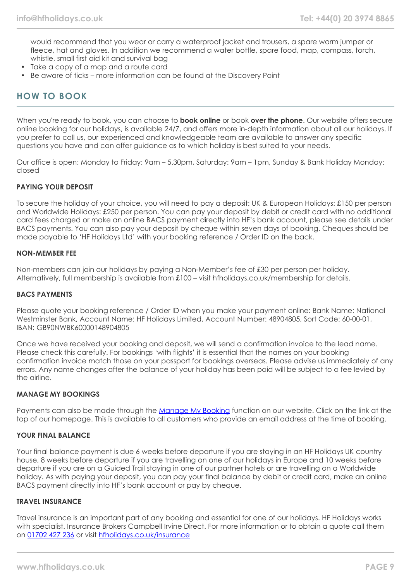would recommend that you wear or carry a waterproof jacket and trousers, a spare warm jumper or fleece, hat and gloves. In addition we recommend a water bottle, spare food, map, compass, torch, whistle, small first aid kit and survival bag

- Take a copy of a map and a route card
- Be aware of ticks more information can be found at the Discovery Point

## **HOW TO BOOK**

When you're ready to book, you can choose to **book online** or book **over the phone**. Our website offers secure online booking for our holidays, is available 24/7, and offers more in-depth information about all our holidays. If you prefer to call us, our experienced and knowledgeable team are available to answer any specific questions you have and can offer guidance as to which holiday is best suited to your needs.

Our office is open: Monday to Friday: 9am – 5.30pm, Saturday: 9am – 1pm, Sunday & Bank Holiday Monday: closed

#### **PAYING YOUR DEPOSIT**

To secure the holiday of your choice, you will need to pay a deposit: UK & European Holidays: £150 per person and Worldwide Holidays: £250 per person. You can pay your deposit by debit or credit card with no additional card fees charged or make an online BACS payment directly into HF's bank account, please see details under BACS payments. You can also pay your deposit by cheque within seven days of booking. Cheques should be made payable to 'HF Holidays Ltd' with your booking reference / Order ID on the back.

#### **NON-MEMBER FEE**

Non-members can join our holidays by paying a Non-Member's fee of £30 per person per holiday. Alternatively, full membership is available from £100 – visit hfholidays.co.uk/membership for details.

#### **BACS PAYMENTS**

Please quote your booking reference / Order ID when you make your payment online: Bank Name: National Westminster Bank, Account Name: HF Holidays Limited, Account Number: 48904805, Sort Code: 60-00-01, IBAN: GB90NWBK60000148904805

Once we have received your booking and deposit, we will send a confirmation invoice to the lead name. Please check this carefully. For bookings 'with flights' it is essential that the names on your booking confirmation invoice match those on your passport for bookings overseas. Please advise us immediately of any errors. Any name changes after the balance of your holiday has been paid will be subject to a fee levied by the airline.

#### **MANAGE MY BOOKINGS**

Payments can also be made through the [Manage My Booking](https://www.hfholidays.co.uk/about-us/bookings/my-booking) function on our website. Click on the link at the top of our homepage. This is available to all customers who provide an email address at the time of booking.

## **YOUR FINAL BALANCE**

Your final balance payment is due 6 weeks before departure if you are staying in an HF Holidays UK country house, 8 weeks before departure if you are travelling on one of our holidays in Europe and 10 weeks before departure if you are on a Guided Trail staying in one of our partner hotels or are travelling on a Worldwide holiday. As with paying your deposit, you can pay your final balance by debit or credit card, make an online BACS payment directly into HF's bank account or pay by cheque.

#### **TRAVEL INSURANCE**

Travel insurance is an important part of any booking and essential for one of our holidays. HF Holidays works with specialist. Insurance Brokers Campbell Irvine Direct. For more information or to obtain a quote call them on [01702 427 236](tel:01702427236) or visit [hfholidays.co.uk/insurance](https://www.hfholidays.co.uk/about-us/bookings/insurance)